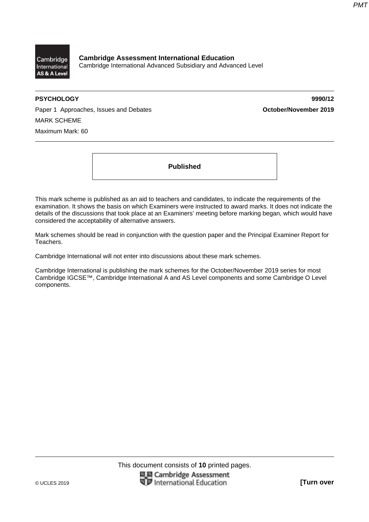

**Cambridge Assessment International Education**  Cambridge International Advanced Subsidiary and Advanced Level

**PSYCHOLOGY 9990/12** 

Paper 1 Approaches, Issues and Debates **October/November 2019** MARK SCHEME Maximum Mark: 60

**Published** 

This mark scheme is published as an aid to teachers and candidates, to indicate the requirements of the examination. It shows the basis on which Examiners were instructed to award marks. It does not indicate the details of the discussions that took place at an Examiners' meeting before marking began, which would have considered the acceptability of alternative answers.

Mark schemes should be read in conjunction with the question paper and the Principal Examiner Report for Teachers.

Cambridge International will not enter into discussions about these mark schemes.

Cambridge International is publishing the mark schemes for the October/November 2019 series for most Cambridge IGCSE™, Cambridge International A and AS Level components and some Cambridge O Level components.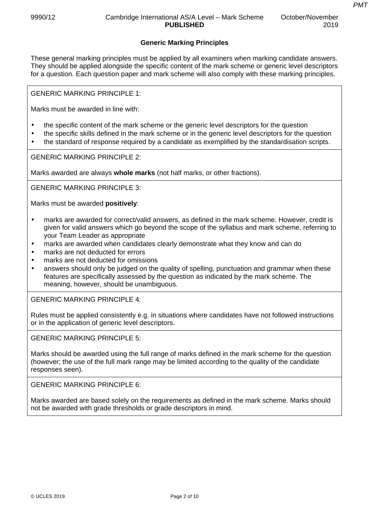# **Generic Marking Principles**

These general marking principles must be applied by all examiners when marking candidate answers. They should be applied alongside the specific content of the mark scheme or generic level descriptors for a question. Each question paper and mark scheme will also comply with these marking principles.

GENERIC MARKING PRINCIPLE 1:

Marks must be awarded in line with:

- the specific content of the mark scheme or the generic level descriptors for the question
- the specific skills defined in the mark scheme or in the generic level descriptors for the question
- the standard of response required by a candidate as exemplified by the standardisation scripts.

GENERIC MARKING PRINCIPLE 2:

Marks awarded are always **whole marks** (not half marks, or other fractions).

GENERIC MARKING PRINCIPLE 3:

Marks must be awarded **positively**:

- marks are awarded for correct/valid answers, as defined in the mark scheme. However, credit is given for valid answers which go beyond the scope of the syllabus and mark scheme, referring to your Team Leader as appropriate
- marks are awarded when candidates clearly demonstrate what they know and can do
- marks are not deducted for errors
- marks are not deducted for omissions
- answers should only be judged on the quality of spelling, punctuation and grammar when these features are specifically assessed by the question as indicated by the mark scheme. The meaning, however, should be unambiguous.

GENERIC MARKING PRINCIPLE 4:

Rules must be applied consistently e.g. in situations where candidates have not followed instructions or in the application of generic level descriptors.

GENERIC MARKING PRINCIPLE 5:

Marks should be awarded using the full range of marks defined in the mark scheme for the question (however; the use of the full mark range may be limited according to the quality of the candidate responses seen).

GENERIC MARKING PRINCIPLE 6:

Marks awarded are based solely on the requirements as defined in the mark scheme. Marks should not be awarded with grade thresholds or grade descriptors in mind.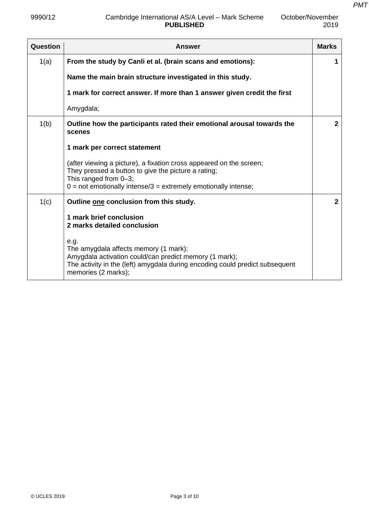2019

| Question | <b>Answer</b>                                                                                                                                                                                                           | <b>Marks</b>   |
|----------|-------------------------------------------------------------------------------------------------------------------------------------------------------------------------------------------------------------------------|----------------|
| 1(a)     | From the study by Canli et al. (brain scans and emotions):                                                                                                                                                              | 1              |
|          | Name the main brain structure investigated in this study.                                                                                                                                                               |                |
|          | 1 mark for correct answer. If more than 1 answer given credit the first                                                                                                                                                 |                |
|          | Amygdala;                                                                                                                                                                                                               |                |
| 1(b)     | Outline how the participants rated their emotional arousal towards the<br>scenes                                                                                                                                        | $\overline{2}$ |
|          | 1 mark per correct statement                                                                                                                                                                                            |                |
|          | (after viewing a picture), a fixation cross appeared on the screen;<br>They pressed a button to give the picture a rating;<br>This ranged from 0-3;<br>$0 =$ not emotionally intense/3 = extremely emotionally intense; |                |
| 1(c)     | Outline one conclusion from this study.                                                                                                                                                                                 | $\overline{2}$ |
|          | 1 mark brief conclusion<br>2 marks detailed conclusion                                                                                                                                                                  |                |
|          | e.g.<br>The amygdala affects memory (1 mark);<br>Amygdala activation could/can predict memory (1 mark);<br>The activity in the (left) amygdala during encoding could predict subsequent<br>memories (2 marks);          |                |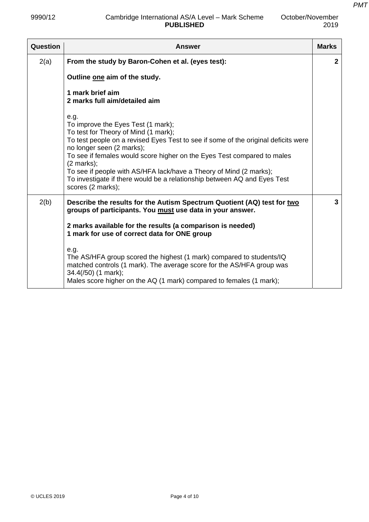*PMT*

| Question | <b>Answer</b>                                                                                                                                                                                                                                                                                                                                                                                                                                                                    | <b>Marks</b> |
|----------|----------------------------------------------------------------------------------------------------------------------------------------------------------------------------------------------------------------------------------------------------------------------------------------------------------------------------------------------------------------------------------------------------------------------------------------------------------------------------------|--------------|
| 2(a)     | From the study by Baron-Cohen et al. (eyes test):                                                                                                                                                                                                                                                                                                                                                                                                                                | $\mathbf{2}$ |
|          | Outline one aim of the study.                                                                                                                                                                                                                                                                                                                                                                                                                                                    |              |
|          | 1 mark brief aim<br>2 marks full aim/detailed aim                                                                                                                                                                                                                                                                                                                                                                                                                                |              |
|          | e.g.<br>To improve the Eyes Test (1 mark);<br>To test for Theory of Mind (1 mark);<br>To test people on a revised Eyes Test to see if some of the original deficits were<br>no longer seen (2 marks);<br>To see if females would score higher on the Eyes Test compared to males<br>$(2 \text{ marks})$ ;<br>To see if people with AS/HFA lack/have a Theory of Mind (2 marks);<br>To investigate if there would be a relationship between AQ and Eyes Test<br>scores (2 marks); |              |
| 2(b)     | Describe the results for the Autism Spectrum Quotient (AQ) test for two<br>groups of participants. You must use data in your answer.                                                                                                                                                                                                                                                                                                                                             | 3            |
|          | 2 marks available for the results (a comparison is needed)<br>1 mark for use of correct data for ONE group                                                                                                                                                                                                                                                                                                                                                                       |              |
|          | e.g.<br>The AS/HFA group scored the highest (1 mark) compared to students/IQ<br>matched controls (1 mark). The average score for the AS/HFA group was<br>34.4(/50) (1 mark);<br>Males score higher on the AQ (1 mark) compared to females (1 mark);                                                                                                                                                                                                                              |              |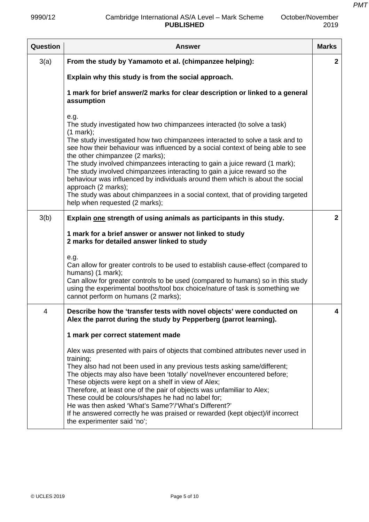| October/November |
|------------------|
| 2019             |

| Question       | <b>Answer</b>                                                                                                                                                                                                                                                                                                                                                                                                                                                                                                                                                                                                                                                                              | <b>Marks</b>   |
|----------------|--------------------------------------------------------------------------------------------------------------------------------------------------------------------------------------------------------------------------------------------------------------------------------------------------------------------------------------------------------------------------------------------------------------------------------------------------------------------------------------------------------------------------------------------------------------------------------------------------------------------------------------------------------------------------------------------|----------------|
| 3(a)           | From the study by Yamamoto et al. (chimpanzee helping):                                                                                                                                                                                                                                                                                                                                                                                                                                                                                                                                                                                                                                    | $\mathbf{2}$   |
|                | Explain why this study is from the social approach.                                                                                                                                                                                                                                                                                                                                                                                                                                                                                                                                                                                                                                        |                |
|                | 1 mark for brief answer/2 marks for clear description or linked to a general<br>assumption                                                                                                                                                                                                                                                                                                                                                                                                                                                                                                                                                                                                 |                |
|                | e.g.<br>The study investigated how two chimpanzees interacted (to solve a task)<br>(1 mark);<br>The study investigated how two chimpanzees interacted to solve a task and to<br>see how their behaviour was influenced by a social context of being able to see<br>the other chimpanzee (2 marks);<br>The study involved chimpanzees interacting to gain a juice reward (1 mark);<br>The study involved chimpanzees interacting to gain a juice reward so the<br>behaviour was influenced by individuals around them which is about the social<br>approach (2 marks);<br>The study was about chimpanzees in a social context, that of providing targeted<br>help when requested (2 marks); |                |
| 3(b)           | Explain one strength of using animals as participants in this study.                                                                                                                                                                                                                                                                                                                                                                                                                                                                                                                                                                                                                       | $\overline{2}$ |
|                | 1 mark for a brief answer or answer not linked to study<br>2 marks for detailed answer linked to study<br>e.g.                                                                                                                                                                                                                                                                                                                                                                                                                                                                                                                                                                             |                |
|                | Can allow for greater controls to be used to establish cause-effect (compared to<br>humans) (1 mark);<br>Can allow for greater controls to be used (compared to humans) so in this study<br>using the experimental booths/tool box choice/nature of task is something we<br>cannot perform on humans (2 marks);                                                                                                                                                                                                                                                                                                                                                                            |                |
| $\overline{4}$ | Describe how the 'transfer tests with novel objects' were conducted on<br>Alex the parrot during the study by Pepperberg (parrot learning).                                                                                                                                                                                                                                                                                                                                                                                                                                                                                                                                                | 4              |
|                | 1 mark per correct statement made                                                                                                                                                                                                                                                                                                                                                                                                                                                                                                                                                                                                                                                          |                |
|                | Alex was presented with pairs of objects that combined attributes never used in<br>training;<br>They also had not been used in any previous tests asking same/different;<br>The objects may also have been 'totally' novel/never encountered before;<br>These objects were kept on a shelf in view of Alex;<br>Therefore, at least one of the pair of objects was unfamiliar to Alex;<br>These could be colours/shapes he had no label for;<br>He was then asked 'What's Same?'/'What's Different?'<br>If he answered correctly he was praised or rewarded (kept object)/if incorrect<br>the experimenter said 'no';                                                                       |                |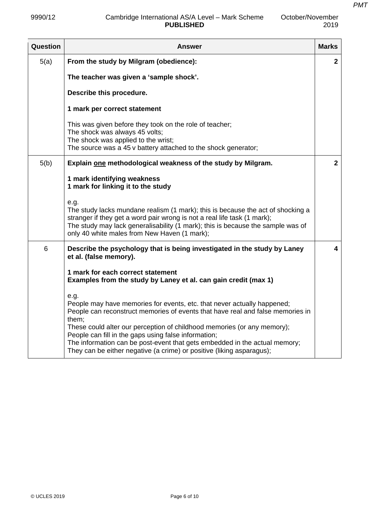| Question | Answer                                                                                                                                                                                                                                                                                                 | <b>Marks</b> |
|----------|--------------------------------------------------------------------------------------------------------------------------------------------------------------------------------------------------------------------------------------------------------------------------------------------------------|--------------|
| 5(a)     | From the study by Milgram (obedience):                                                                                                                                                                                                                                                                 | $\mathbf{2}$ |
|          | The teacher was given a 'sample shock'.                                                                                                                                                                                                                                                                |              |
|          | Describe this procedure.                                                                                                                                                                                                                                                                               |              |
|          | 1 mark per correct statement                                                                                                                                                                                                                                                                           |              |
|          | This was given before they took on the role of teacher;<br>The shock was always 45 volts;<br>The shock was applied to the wrist;<br>The source was a 45 v battery attached to the shock generator;                                                                                                     |              |
| 5(b)     | Explain one methodological weakness of the study by Milgram.                                                                                                                                                                                                                                           | $\mathbf{2}$ |
|          | 1 mark identifying weakness<br>1 mark for linking it to the study                                                                                                                                                                                                                                      |              |
|          | e.g.<br>The study lacks mundane realism (1 mark); this is because the act of shocking a<br>stranger if they get a word pair wrong is not a real life task (1 mark);<br>The study may lack generalisability (1 mark); this is because the sample was of<br>only 40 white males from New Haven (1 mark); |              |
| 6        | Describe the psychology that is being investigated in the study by Laney<br>et al. (false memory).                                                                                                                                                                                                     | 4            |
|          | 1 mark for each correct statement<br>Examples from the study by Laney et al. can gain credit (max 1)                                                                                                                                                                                                   |              |
|          | e.g.<br>People may have memories for events, etc. that never actually happened;<br>People can reconstruct memories of events that have real and false memories in<br>them;<br>These could alter our perception of childhood memories (or any memory);                                                  |              |
|          | People can fill in the gaps using false information;<br>The information can be post-event that gets embedded in the actual memory;<br>They can be either negative (a crime) or positive (liking asparagus);                                                                                            |              |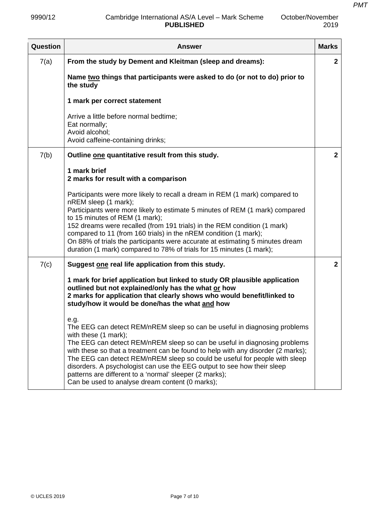| October/November |
|------------------|
| 2019             |

| Question | <b>Answer</b>                                                                                                                                                                                                                                                                                                                                                                                                                                                                                                                                     | <b>Marks</b>   |
|----------|---------------------------------------------------------------------------------------------------------------------------------------------------------------------------------------------------------------------------------------------------------------------------------------------------------------------------------------------------------------------------------------------------------------------------------------------------------------------------------------------------------------------------------------------------|----------------|
| 7(a)     | From the study by Dement and Kleitman (sleep and dreams):                                                                                                                                                                                                                                                                                                                                                                                                                                                                                         | $\mathbf{2}$   |
|          | Name two things that participants were asked to do (or not to do) prior to<br>the study                                                                                                                                                                                                                                                                                                                                                                                                                                                           |                |
|          | 1 mark per correct statement                                                                                                                                                                                                                                                                                                                                                                                                                                                                                                                      |                |
|          | Arrive a little before normal bedtime;<br>Eat normally;<br>Avoid alcohol;<br>Avoid caffeine-containing drinks;                                                                                                                                                                                                                                                                                                                                                                                                                                    |                |
| 7(b)     | Outline one quantitative result from this study.                                                                                                                                                                                                                                                                                                                                                                                                                                                                                                  | $\overline{2}$ |
|          | 1 mark brief<br>2 marks for result with a comparison                                                                                                                                                                                                                                                                                                                                                                                                                                                                                              |                |
|          | Participants were more likely to recall a dream in REM (1 mark) compared to<br>nREM sleep (1 mark);<br>Participants were more likely to estimate 5 minutes of REM (1 mark) compared<br>to 15 minutes of REM (1 mark);<br>152 dreams were recalled (from 191 trials) in the REM condition (1 mark)<br>compared to 11 (from 160 trials) in the nREM condition (1 mark);<br>On 88% of trials the participants were accurate at estimating 5 minutes dream<br>duration (1 mark) compared to 78% of trials for 15 minutes (1 mark);                    |                |
| 7(c)     | Suggest one real life application from this study.                                                                                                                                                                                                                                                                                                                                                                                                                                                                                                | $\overline{2}$ |
|          | 1 mark for brief application but linked to study OR plausible application<br>outlined but not explained/only has the what or how<br>2 marks for application that clearly shows who would benefit/linked to<br>study/how it would be done/has the what and how                                                                                                                                                                                                                                                                                     |                |
|          | e.g.<br>The EEG can detect REM/nREM sleep so can be useful in diagnosing problems<br>with these (1 mark);<br>The EEG can detect REM/nREM sleep so can be useful in diagnosing problems<br>with these so that a treatment can be found to help with any disorder (2 marks);<br>The EEG can detect REM/nREM sleep so could be useful for people with sleep<br>disorders. A psychologist can use the EEG output to see how their sleep<br>patterns are different to a 'normal' sleeper (2 marks);<br>Can be used to analyse dream content (0 marks); |                |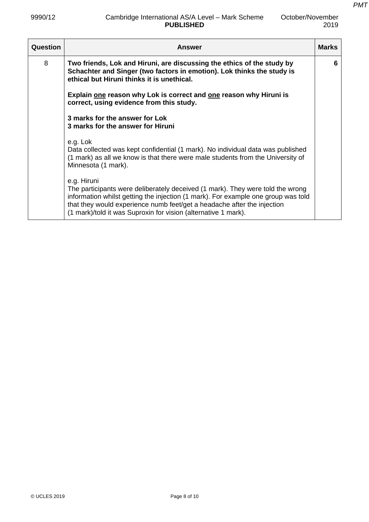*PMT*

| Question | <b>Answer</b>                                                                                                                                                                                                                                                                                                                   | <b>Marks</b> |
|----------|---------------------------------------------------------------------------------------------------------------------------------------------------------------------------------------------------------------------------------------------------------------------------------------------------------------------------------|--------------|
| 8        | Two friends, Lok and Hiruni, are discussing the ethics of the study by<br>Schachter and Singer (two factors in emotion). Lok thinks the study is<br>ethical but Hiruni thinks it is unethical.                                                                                                                                  | 6            |
|          | Explain one reason why Lok is correct and one reason why Hiruni is<br>correct, using evidence from this study.                                                                                                                                                                                                                  |              |
|          | 3 marks for the answer for Lok<br>3 marks for the answer for Hiruni                                                                                                                                                                                                                                                             |              |
|          | e.g. Lok<br>Data collected was kept confidential (1 mark). No individual data was published<br>(1 mark) as all we know is that there were male students from the University of<br>Minnesota (1 mark).                                                                                                                           |              |
|          | e.g. Hiruni<br>The participants were deliberately deceived (1 mark). They were told the wrong<br>information whilst getting the injection (1 mark). For example one group was told<br>that they would experience numb feet/get a headache after the injection<br>(1 mark)/told it was Suproxin for vision (alternative 1 mark). |              |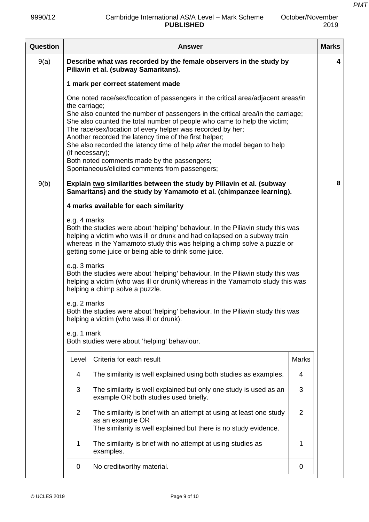| October/November |
|------------------|
| 2019             |

| Question |                                                                                                                                                                                                                                                                                                                   | Answer                                                                                                                                                                                                                                                                                                                                                                                                                                                                                                                                               |              | <b>Marks</b> |
|----------|-------------------------------------------------------------------------------------------------------------------------------------------------------------------------------------------------------------------------------------------------------------------------------------------------------------------|------------------------------------------------------------------------------------------------------------------------------------------------------------------------------------------------------------------------------------------------------------------------------------------------------------------------------------------------------------------------------------------------------------------------------------------------------------------------------------------------------------------------------------------------------|--------------|--------------|
| 9(a)     | Describe what was recorded by the female observers in the study by<br>Piliavin et al. (subway Samaritans).                                                                                                                                                                                                        |                                                                                                                                                                                                                                                                                                                                                                                                                                                                                                                                                      |              |              |
|          |                                                                                                                                                                                                                                                                                                                   | 1 mark per correct statement made                                                                                                                                                                                                                                                                                                                                                                                                                                                                                                                    |              |              |
|          | the carriage;<br>(if necessary);                                                                                                                                                                                                                                                                                  | One noted race/sex/location of passengers in the critical area/adjacent areas/in<br>She also counted the number of passengers in the critical area/in the carriage;<br>She also counted the total number of people who came to help the victim;<br>The race/sex/location of every helper was recorded by her;<br>Another recorded the latency time of the first helper;<br>She also recorded the latency time of help after the model began to help<br>Both noted comments made by the passengers;<br>Spontaneous/elicited comments from passengers; |              |              |
| 9(b)     |                                                                                                                                                                                                                                                                                                                   | Explain two similarities between the study by Piliavin et al. (subway                                                                                                                                                                                                                                                                                                                                                                                                                                                                                |              | 8            |
|          |                                                                                                                                                                                                                                                                                                                   | Samaritans) and the study by Yamamoto et al. (chimpanzee learning).                                                                                                                                                                                                                                                                                                                                                                                                                                                                                  |              |              |
|          |                                                                                                                                                                                                                                                                                                                   | 4 marks available for each similarity                                                                                                                                                                                                                                                                                                                                                                                                                                                                                                                |              |              |
|          | e.g. 4 marks<br>Both the studies were about 'helping' behaviour. In the Piliavin study this was<br>helping a victim who was ill or drunk and had collapsed on a subway train<br>whereas in the Yamamoto study this was helping a chimp solve a puzzle or<br>getting some juice or being able to drink some juice. |                                                                                                                                                                                                                                                                                                                                                                                                                                                                                                                                                      |              |              |
|          | e.g. 3 marks                                                                                                                                                                                                                                                                                                      | Both the studies were about 'helping' behaviour. In the Piliavin study this was<br>helping a victim (who was ill or drunk) whereas in the Yamamoto study this was<br>helping a chimp solve a puzzle.                                                                                                                                                                                                                                                                                                                                                 |              |              |
|          | e.g. 2 marks                                                                                                                                                                                                                                                                                                      | Both the studies were about 'helping' behaviour. In the Piliavin study this was<br>helping a victim (who was ill or drunk).                                                                                                                                                                                                                                                                                                                                                                                                                          |              |              |
|          | e.g. 1 mark                                                                                                                                                                                                                                                                                                       | Both studies were about 'helping' behaviour.                                                                                                                                                                                                                                                                                                                                                                                                                                                                                                         |              |              |
|          | Level                                                                                                                                                                                                                                                                                                             | Criteria for each result                                                                                                                                                                                                                                                                                                                                                                                                                                                                                                                             | <b>Marks</b> |              |
|          | 4                                                                                                                                                                                                                                                                                                                 | The similarity is well explained using both studies as examples.                                                                                                                                                                                                                                                                                                                                                                                                                                                                                     | 4            |              |
|          | 3                                                                                                                                                                                                                                                                                                                 | The similarity is well explained but only one study is used as an<br>example OR both studies used briefly.                                                                                                                                                                                                                                                                                                                                                                                                                                           | 3            |              |
|          | $\overline{2}$                                                                                                                                                                                                                                                                                                    | The similarity is brief with an attempt at using at least one study<br>as an example OR<br>The similarity is well explained but there is no study evidence.                                                                                                                                                                                                                                                                                                                                                                                          | 2            |              |
|          | 1                                                                                                                                                                                                                                                                                                                 | The similarity is brief with no attempt at using studies as<br>examples.                                                                                                                                                                                                                                                                                                                                                                                                                                                                             | 1            |              |
|          | 0                                                                                                                                                                                                                                                                                                                 | No creditworthy material.                                                                                                                                                                                                                                                                                                                                                                                                                                                                                                                            | 0            |              |